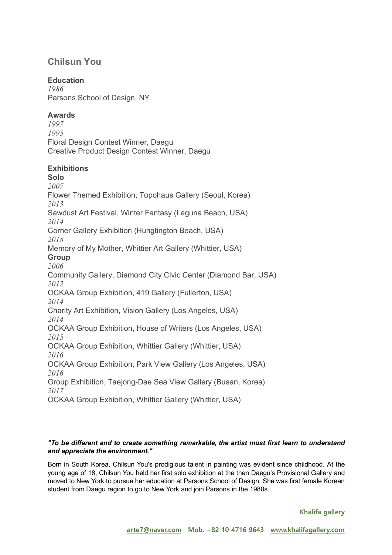# **Chilsun You**

## **Education**

*1986* Parsons School of Design, NY

## **Awards**

*1997 1995* Floral Design Contest Winner, Daegu Creative Product Design Contest Winner, Daegu

## **Exhibitions**

**Solo** *2007* Flower Themed Exhibition, Topohaus Gallery (Seoul, Korea) *2013* Sawdust Art Festival, Winter Fantasy (Laguna Beach, USA) *2014* Corner Gallery Exhibition (Hungtington Beach, USA) *2018* Memory of My Mother, Whittier Art Gallery (Whittier, USA) **Group** *2006* Community Gallery, Diamond City Civic Center (Diamond Bar, USA) *2012* OCKAA Group Exhibition, 419 Gallery (Fullerton, USA) *2014* Charity Art Exhibition, Vision Gallery (Los Angeles, USA) *2014* OCKAA Group Exhibition, House of Writers (Los Angeles, USA) *2015* OCKAA Group Exhibition, Whittier Gallery (Whittier, USA) *2016* OCKAA Group Exhibition, Park View Gallery (Los Angeles, USA) *2016* Group Exhibition, Taejong-Dae Sea View Gallery (Busan, Korea) *2017* OCKAA Group Exhibition, Whittier Gallery (Whittier, USA)

### *"To be different and to create something remarkable, the artist must first learn to understand and appreciate the environment."*

Born in South Korea, Chilsun You's prodigious talent in painting was evident since childhood. At the young age of 18, Chilsun You held her first solo exhibition at the then Daegu's Provisional Gallery and moved to New York to pursue her education at Parsons School of Design. She was first female Korean student from Daegu region to go to New York and join Parsons in the 1980s.

**Khalifa gallery**